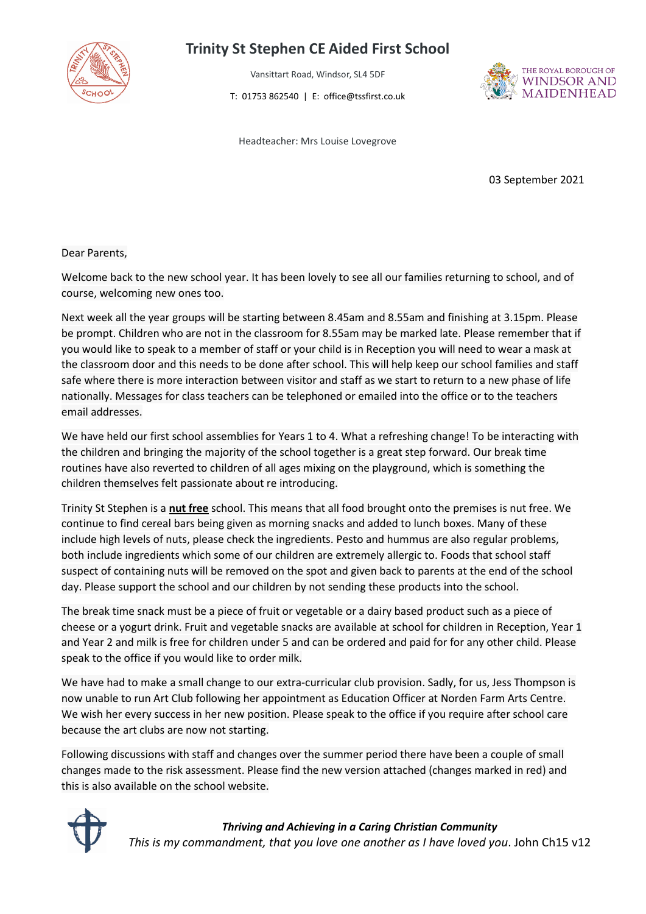

## **Trinity St Stephen CE Aided First School**

Vansittart Road, Windsor, SL4 5DF

T: 01753 862540 | E: office@tssfirst.co.uk



Headteacher: Mrs Louise Lovegrove

03 September 2021

## Dear Parents,

Welcome back to the new school year. It has been lovely to see all our families returning to school, and of course, welcoming new ones too.

Next week all the year groups will be starting between 8.45am and 8.55am and finishing at 3.15pm. Please be prompt. Children who are not in the classroom for 8.55am may be marked late. Please remember that if you would like to speak to a member of staff or your child is in Reception you will need to wear a mask at the classroom door and this needs to be done after school. This will help keep our school families and staff safe where there is more interaction between visitor and staff as we start to return to a new phase of life nationally. Messages for class teachers can be telephoned or emailed into the office or to the teachers email addresses.

We have held our first school assemblies for Years 1 to 4. What a refreshing change! To be interacting with the children and bringing the majority of the school together is a great step forward. Our break time routines have also reverted to children of all ages mixing on the playground, which is something the children themselves felt passionate about re introducing.

Trinity St Stephen is a **nut free** school. This means that all food brought onto the premises is nut free. We continue to find cereal bars being given as morning snacks and added to lunch boxes. Many of these include high levels of nuts, please check the ingredients. Pesto and hummus are also regular problems, both include ingredients which some of our children are extremely allergic to. Foods that school staff suspect of containing nuts will be removed on the spot and given back to parents at the end of the school day. Please support the school and our children by not sending these products into the school.

The break time snack must be a piece of fruit or vegetable or a dairy based product such as a piece of cheese or a yogurt drink. Fruit and vegetable snacks are available at school for children in Reception, Year 1 and Year 2 and milk is free for children under 5 and can be ordered and paid for for any other child. Please speak to the office if you would like to order milk.

We have had to make a small change to our extra-curricular club provision. Sadly, for us, Jess Thompson is now unable to run Art Club following her appointment as Education Officer at Norden Farm Arts Centre. We wish her every success in her new position. Please speak to the office if you require after school care because the art clubs are now not starting.

Following discussions with staff and changes over the summer period there have been a couple of small changes made to the risk assessment. Please find the new version attached (changes marked in red) and this is also available on the school website.



*Thriving and Achieving in a Caring Christian Community This is my commandment, that you love one another as I have loved you*. John Ch15 v12